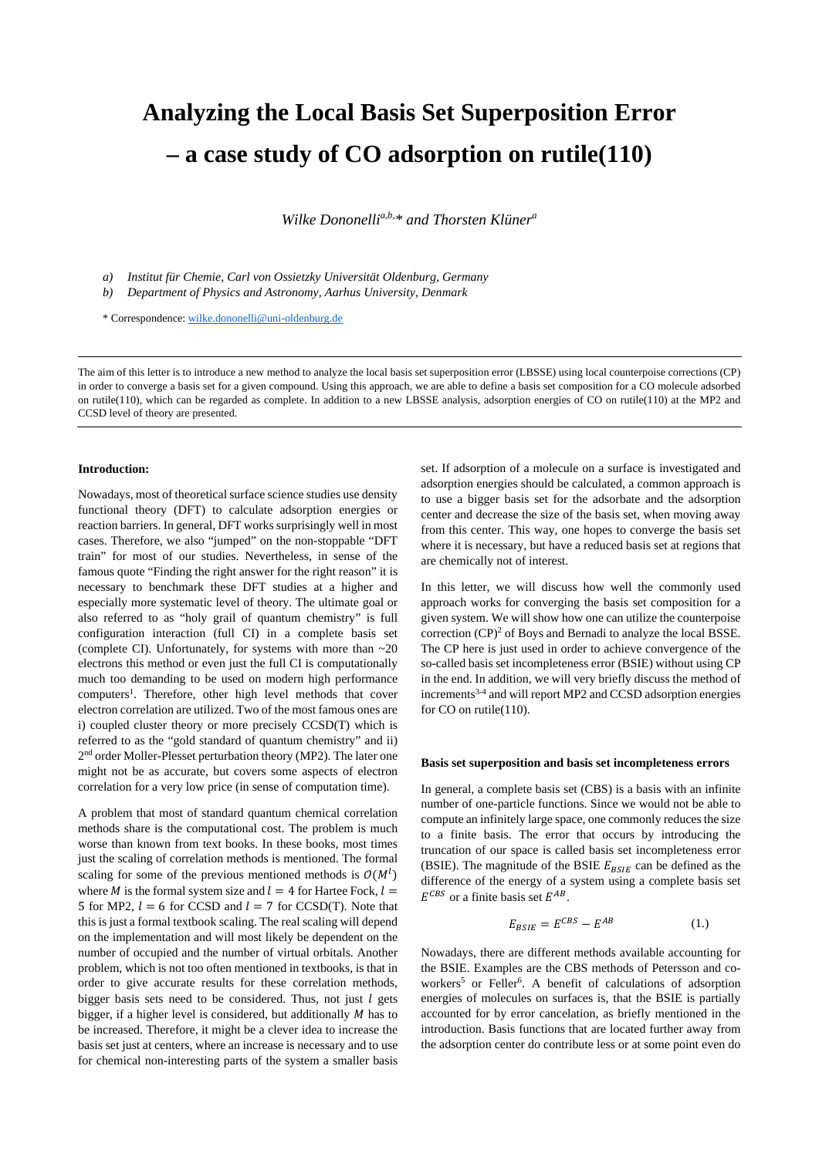## **Analyzing the Local Basis Set Superposition Error – a case study of CO adsorption on rutile(110)**

*Wilke Dononellia,b,\* and Thorsten Klünera*

*a) Institut für Chemie, Carl von Ossietzky Universität Oldenburg, Germany*

*b) Department of Physics and Astronomy, Aarhus University, Denmark*

\* Correspondence: [wilke.dononelli@uni-oldenburg.de](mailto:wilke.dononelli@uni-oldenburg.de)

The aim of this letter is to introduce a new method to analyze the local basis set superposition error (LBSSE) using local counterpoise corrections (CP) in order to converge a basis set for a given compound. Using this approach, we are able to define a basis set composition for a CO molecule adsorbed on rutile(110), which can be regarded as complete. In addition to a new LBSSE analysis, adsorption energies of CO on rutile(110) at the MP2 and CCSD level of theory are presented.

#### **Introduction:**

Nowadays, most of theoretical surface science studies use density functional theory (DFT) to calculate adsorption energies or reaction barriers. In general, DFT works surprisingly well in most cases. Therefore, we also "jumped" on the non-stoppable "DFT train" for most of our studies. Nevertheless, in sense of the famous quote "Finding the right answer for the right reason" it is necessary to benchmark these DFT studies at a higher and especially more systematic level of theory. The ultimate goal or also referred to as "holy grail of quantum chemistry" is full configuration interaction (full CI) in a complete basis set (complete CI). Unfortunately, for systems with more than  $\sim 20$ electrons this method or even just the full CI is computationally much too demanding to be used on modern high performance computers<sup>1</sup>. Therefore, other high level methods that cover electron correlation are utilized. Two of the most famous ones are i) coupled cluster theory or more precisely CCSD(T) which is referred to as the "gold standard of quantum chemistry" and ii) 2nd order Moller-Plesset perturbation theory (MP2). The later one might not be as accurate, but covers some aspects of electron correlation for a very low price (in sense of computation time).

A problem that most of standard quantum chemical correlation methods share is the computational cost. The problem is much worse than known from text books. In these books, most times just the scaling of correlation methods is mentioned. The formal scaling for some of the previous mentioned methods is  $O(M^l)$ where *M* is the formal system size and  $l = 4$  for Hartee Fock,  $l =$ 5 for MP2,  $l = 6$  for CCSD and  $l = 7$  for CCSD(T). Note that this is just a formal textbook scaling. The real scaling will depend on the implementation and will most likely be dependent on the number of occupied and the number of virtual orbitals. Another problem, which is not too often mentioned in textbooks, is that in order to give accurate results for these correlation methods, bigger basis sets need to be considered. Thus, not just  $l$  gets bigger, if a higher level is considered, but additionally  $M$  has to be increased. Therefore, it might be a clever idea to increase the basis set just at centers, where an increase is necessary and to use for chemical non-interesting parts of the system a smaller basis

set. If adsorption of a molecule on a surface is investigated and adsorption energies should be calculated, a common approach is to use a bigger basis set for the adsorbate and the adsorption center and decrease the size of the basis set, when moving away from this center. This way, one hopes to converge the basis set where it is necessary, but have a reduced basis set at regions that are chemically not of interest.

In this letter, we will discuss how well the commonly used approach works for converging the basis set composition for a given system. We will show how one can utilize the counterpoise correction  $(CP)^2$  of Boys and Bernadi to analyze the local BSSE. The CP here is just used in order to achieve convergence of the so-called basis set incompleteness error (BSIE) without using CP in the end. In addition, we will very briefly discuss the method of increments<sup>3-4</sup> and will report MP2 and CCSD adsorption energies for CO on rutile(110).

#### **Basis set superposition and basis set incompleteness errors**

In general, a complete basis set (CBS) is a basis with an infinite number of one-particle functions. Since we would not be able to compute an infinitely large space, one commonly reduces the size to a finite basis. The error that occurs by introducing the truncation of our space is called basis set incompleteness error (BSIE). The magnitude of the BSIE  $E_{BSIE}$  can be defined as the difference of the energy of a system using a complete basis set  $E^{CBS}$  or a finite basis set  $E^{AB}$ .

$$
E_{BSIE} = E^{CBS} - E^{AB} \tag{1.}
$$

Nowadays, there are different methods available accounting for the BSIE. Examples are the CBS methods of Petersson and coworkers<sup>5</sup> or Feller<sup>6</sup>. A benefit of calculations of adsorption energies of molecules on surfaces is, that the BSIE is partially accounted for by error cancelation, as briefly mentioned in the introduction. Basis functions that are located further away from the adsorption center do contribute less or at some point even do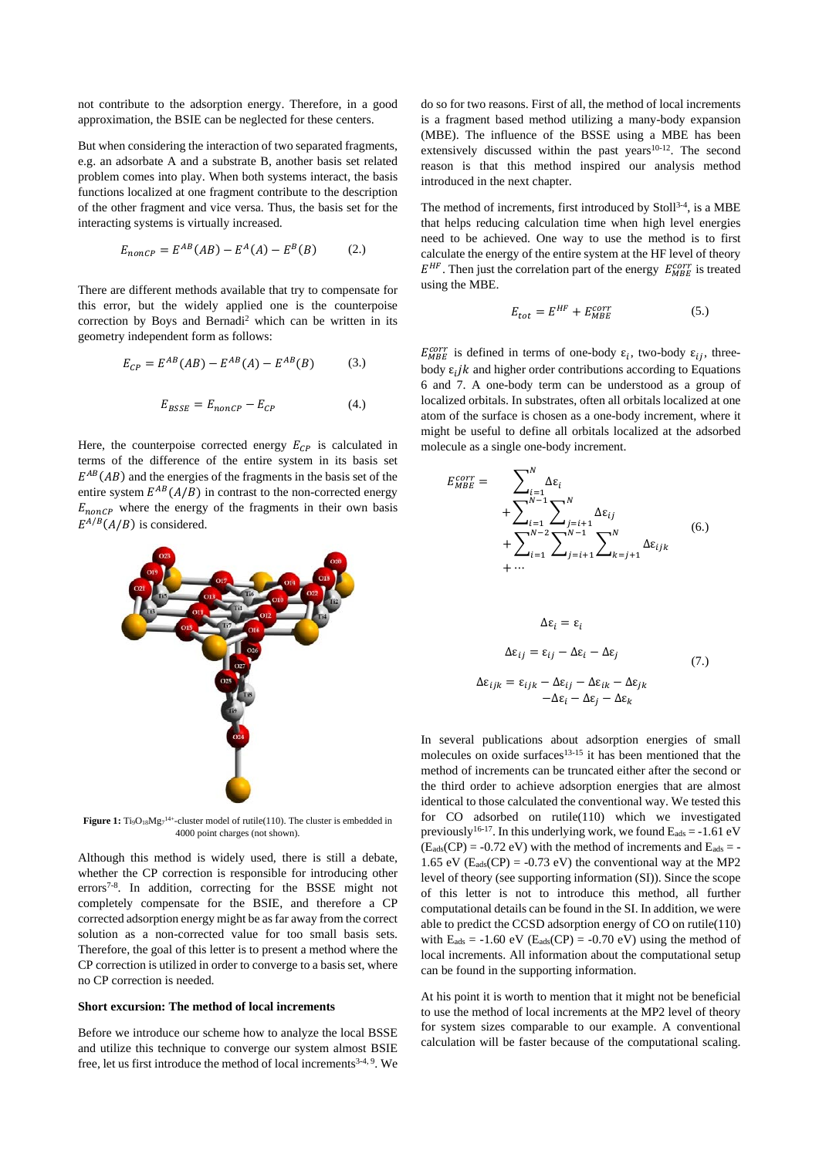not contribute to the adsorption energy. Therefore, in a good approximation, the BSIE can be neglected for these centers.

But when considering the interaction of two separated fragments, e.g. an adsorbate A and a substrate B, another basis set related problem comes into play. When both systems interact, the basis functions localized at one fragment contribute to the description of the other fragment and vice versa. Thus, the basis set for the interacting systems is virtually increased.

$$
E_{nonCP} = E^{AB}(AB) - E^A(A) - E^B(B) \tag{2.}
$$

There are different methods available that try to compensate for this error, but the widely applied one is the counterpoise correction by Boys and Bernadi2 which can be written in its geometry independent form as follows:

$$
E_{CP} = E^{AB}(AB) - E^{AB}(A) - E^{AB}(B)
$$
 (3.)

$$
E_{BSSE} = E_{nonCP} - E_{CP}
$$
 (4.)

Here, the counterpoise corrected energy  $E_{CP}$  is calculated in terms of the difference of the entire system in its basis set  $E^{AB}(AB)$  and the energies of the fragments in the basis set of the entire system  $E^{AB}(A/B)$  in contrast to the non-corrected energy  $E_{nonCP}$  where the energy of the fragments in their own basis  $E^{A/B}(A/B)$  is considered.



**Figure 1:**  $Ti<sub>9</sub>O<sub>18</sub>Mg<sub>7</sub><sup>14+</sup>$ -cluster model of rutile(110). The cluster is embedded in 4000 point charges (not shown).

Although this method is widely used, there is still a debate, whether the CP correction is responsible for introducing other errors<sup>7-8</sup>. In addition, correcting for the BSSE might not completely compensate for the BSIE, and therefore a CP corrected adsorption energy might be as far away from the correct solution as a non-corrected value for too small basis sets. Therefore, the goal of this letter is to present a method where the CP correction is utilized in order to converge to a basis set, where no CP correction is needed.

#### **Short excursion: The method of local increments**

Before we introduce our scheme how to analyze the local BSSE and utilize this technique to converge our system almost BSIE free, let us first introduce the method of local increments<sup>3-4, 9</sup>. We do so for two reasons. First of all, the method of local increments is a fragment based method utilizing a many-body expansion (MBE). The influence of the BSSE using a MBE has been extensively discussed within the past years $10^{-12}$ . The second reason is that this method inspired our analysis method introduced in the next chapter.

The method of increments, first introduced by Stoll<sup>3-4</sup>, is a MBE that helps reducing calculation time when high level energies need to be achieved. One way to use the method is to first calculate the energy of the entire system at the HF level of theory  $E^{HF}$ . Then just the correlation part of the energy  $E_{MBE}^{corr}$  is treated using the MBE.

$$
E_{tot} = E^{HF} + E_{MBE}^{corr} \tag{5.}
$$

 $E_{MBE}^{corr}$  is defined in terms of one-body  $\varepsilon_i$ , two-body  $\varepsilon_{ij}$ , threebody  $\varepsilon_i$  *ik* and higher order contributions according to Equations 6 and 7. A one-body term can be understood as a group of localized orbitals. In substrates, often all orbitals localized at one atom of the surface is chosen as a one-body increment, where it might be useful to define all orbitals localized at the adsorbed molecule as a single one-body increment.

 $\overline{\phantom{a}}$   $\overline{\phantom{a}}$ 

$$
E_{MBE}^{corr} = \sum_{\substack{i=1 \ i=1}}^{N} \Delta \varepsilon_{i}
$$
  
+ 
$$
\sum_{i=1}^{N-1} \sum_{j=i+1}^{N} \Delta \varepsilon_{ij}
$$
  
+ 
$$
\sum_{i=1}^{N-2} \sum_{j=i+1}^{N-1} \sum_{k=j+1}^{N} \Delta \varepsilon_{ijk}
$$
  
+ ...  

$$
\Delta \varepsilon_{i} = \varepsilon_{i}
$$
  

$$
\Delta \varepsilon_{ij} = \varepsilon_{ij} - \Delta \varepsilon_{i} - \Delta \varepsilon_{j}
$$
  

$$
\Delta \varepsilon_{ijk} = \varepsilon_{ijk} - \Delta \varepsilon_{ij} - \Delta \varepsilon_{ik} - \Delta \varepsilon_{jk}
$$
  

$$
-\Delta \varepsilon_{i} - \Delta \varepsilon_{j} - \Delta \varepsilon_{k}
$$
  
(7.)

In several publications about adsorption energies of small molecules on oxide surfaces $13-15$  it has been mentioned that the method of increments can be truncated either after the second or the third order to achieve adsorption energies that are almost identical to those calculated the conventional way. We tested this for CO adsorbed on rutile(110) which we investigated previously<sup>16-17</sup>. In this underlying work, we found  $E_{ads} = -1.61$  eV  $(E_{ads}(CP) = -0.72$  eV) with the method of increments and  $E_{ads} = -0.72$ 1.65 eV ( $E_{ads}(CP) = -0.73$  eV) the conventional way at the MP2 level of theory (see supporting information (SI)). Since the scope of this letter is not to introduce this method, all further computational details can be found in the SI. In addition, we were able to predict the CCSD adsorption energy of CO on rutile(110) with  $E_{ads} = -1.60$  eV ( $E_{ads}(CP) = -0.70$  eV) using the method of local increments. All information about the computational setup can be found in the supporting information.

At his point it is worth to mention that it might not be beneficial to use the method of local increments at the MP2 level of theory for system sizes comparable to our example. A conventional calculation will be faster because of the computational scaling.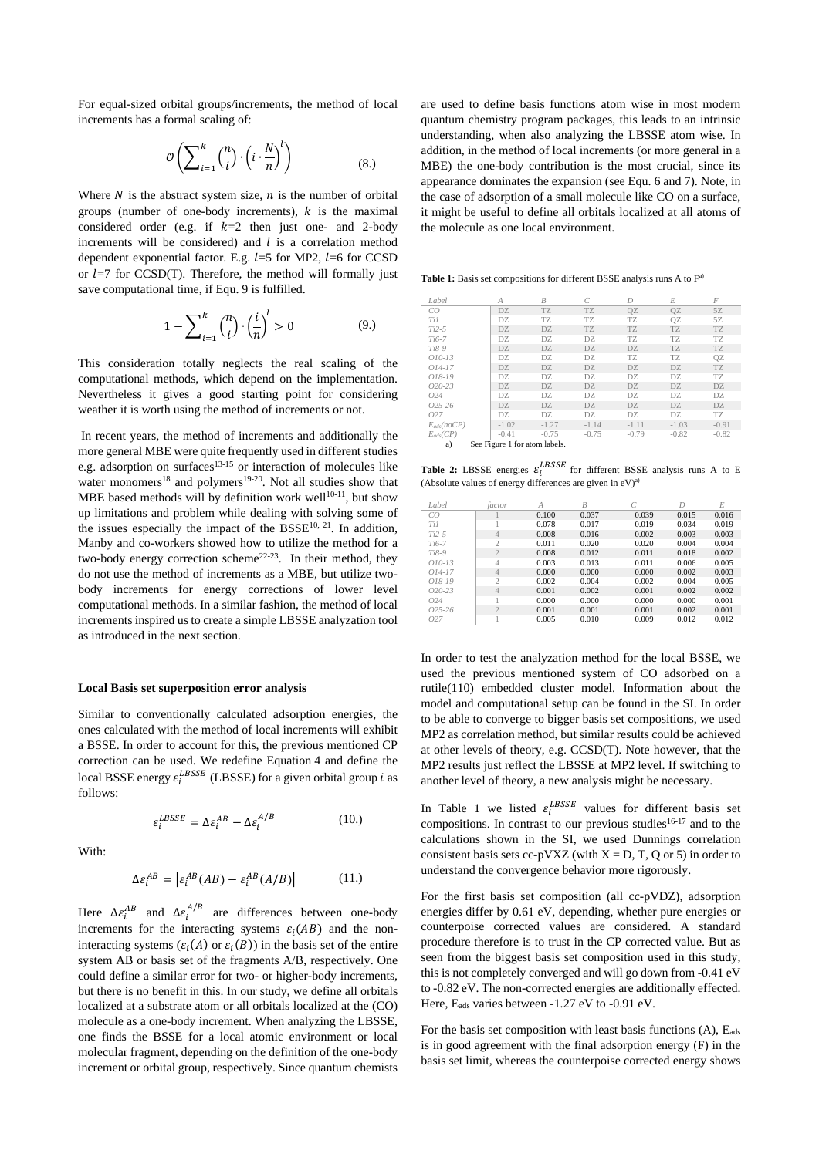For equal-sized orbital groups/increments, the method of local increments has a formal scaling of:

$$
\mathcal{O}\left(\sum_{i=1}^{k} {n \choose i} \cdot \left(i \cdot \frac{N}{n}\right)^{l}\right) \tag{8.}
$$

Where  $N$  is the abstract system size,  $n$  is the number of orbital groups (number of one-body increments),  $k$  is the maximal considered order (e.g. if  $k=2$  then just one- and 2-body increments will be considered) and  $l$  is a correlation method dependent exponential factor. E.g.  $l=5$  for MP2,  $l=6$  for CCSD or  $l=7$  for CCSD(T). Therefore, the method will formally just save computational time, if Equ. 9 is fulfilled.

$$
1 - \sum_{i=1}^{k} {n \choose i} \cdot \left(\frac{i}{n}\right)^{l} > 0
$$
 (9.)

This consideration totally neglects the real scaling of the computational methods, which depend on the implementation. Nevertheless it gives a good starting point for considering weather it is worth using the method of increments or not.

In recent years, the method of increments and additionally the more general MBE were quite frequently used in different studies e.g. adsorption on surfaces $13-15$  or interaction of molecules like water monomers<sup>18</sup> and polymers<sup>19-20</sup>. Not all studies show that MBE based methods will by definition work well $10^{-11}$ , but show up limitations and problem while dealing with solving some of the issues especially the impact of the  $BSSE^{10, 21}$ . In addition, Manby and co-workers showed how to utilize the method for a two-body energy correction scheme<sup>22-23</sup>. In their method, they do not use the method of increments as a MBE, but utilize twobody increments for energy corrections of lower level computational methods. In a similar fashion, the method of local increments inspired us to create a simple LBSSE analyzation tool as introduced in the next section.

#### **Local Basis set superposition error analysis**

 $\varepsilon_i^{LBSSE} = \Delta \varepsilon_i^{AB} - \Delta \varepsilon_i^2$ 

Similar to conventionally calculated adsorption energies, the ones calculated with the method of local increments will exhibit a BSSE. In order to account for this, the previous mentioned CP correction can be used. We redefine Equation 4 and define the local BSSE energy  $\varepsilon_i^{LBSSE}$  (LBSSE) for a given orbital group *i* as follows:

With:

$$
\Delta \varepsilon_i^{AB} = \left| \varepsilon_i^{AB}(AB) - \varepsilon_i^{AB}(A/B) \right| \tag{11.}
$$

 $(10.)$ 

Here  $\Delta \varepsilon_i^{AB}$  and  $\Delta \varepsilon_i^{A/B}$  are differences between one-body increments for the interacting systems  $\varepsilon_i(AB)$  and the noninteracting systems ( $\varepsilon_i(A)$  or  $\varepsilon_i(B)$ ) in the basis set of the entire system AB or basis set of the fragments A/B, respectively. One could define a similar error for two- or higher-body increments, but there is no benefit in this. In our study, we define all orbitals localized at a substrate atom or all orbitals localized at the (CO) molecule as a one-body increment. When analyzing the LBSSE, one finds the BSSE for a local atomic environment or local molecular fragment, depending on the definition of the one-body increment or orbital group, respectively. Since quantum chemists

are used to define basis functions atom wise in most modern quantum chemistry program packages, this leads to an intrinsic understanding, when also analyzing the LBSSE atom wise. In addition, in the method of local increments (or more general in a MBE) the one-body contribution is the most crucial, since its appearance dominates the expansion (see Equ. 6 and 7). Note, in the case of adsorption of a small molecule like CO on a surface, it might be useful to define all orbitals localized at all atoms of the molecule as one local environment.

Table 1: Basis set compositions for different BSSE analysis runs A to F<sup>a)</sup>

| Label                               | А       | $\overline{B}$ |         | $\overline{D}$ | E       | $\overline{F}$ |
|-------------------------------------|---------|----------------|---------|----------------|---------|----------------|
| CO                                  | DZ.     | TZ             | TZ      | 0Z             | 0Z      | 5Z             |
| Ti1                                 | DZ.     | TZ             | TZ      | TZ             | 0Z      | 5Z             |
| $Ti2-5$                             | DZ      | DZ             | TZ      | TZ             | TZ      | TZ             |
| $Ti6-7$                             | DZ.     | DZ.            | DZ.     | TZ             | TZ.     | TZ.            |
| $Ti8-9$                             | DZ.     | DZ             | DZ      | DZ             | TZ      | TZ             |
| $O10-13$                            | DZ      | DZ             | DZ      | TZ             | TZ      | 0Z             |
| $O14-17$                            | DZ.     | DZ.            | DZ.     | DZ.            | DZ.     | TZ             |
| 018-19                              | DZ.     | DZ.            | DZ      | DZ             | DZ      | TZ             |
| $O20-23$                            | DZ.     | DZ.            | DZ      | DZ             | DZ      | DZ             |
| O24                                 | DZ      | DZ             | DZ      | DZ             | DZ      | DZ             |
| $O25 - 26$                          | DZ.     | DZ.            | DZ      | DZ.            | DZ      | DZ             |
| 027                                 | DZ      | DZ             | DZ      | DZ             | DZ      | TZ             |
| $E_{ads}(noCP)$                     | $-1.02$ | $-1.27$        | $-1.14$ | $-1.11$        | $-1.03$ | $-0.91$        |
| $E_{ads}(CP)$                       | $-0.41$ | $-0.75$        | $-0.75$ | $-0.79$        | $-0.82$ | $-0.82$        |
| See Figure 1 for atom labels.<br>a) |         |                |         |                |         |                |

**Table 2:** LBSSE energies  $\varepsilon_i^{LBSSE}$  for different BSSE analysis runs A to E (Absolute values of energy differences are given in  $eV$ )<sup>a)</sup>

| Label      | factor         | А     | $\overline{B}$ |       | $\sqrt{ }$ | E     |
|------------|----------------|-------|----------------|-------|------------|-------|
| CO         |                | 0.100 | 0.037          | 0.039 | 0.015      | 0.016 |
| Ti1        |                | 0.078 | 0.017          | 0.019 | 0.034      | 0.019 |
| $Ti2-5$    | $\overline{4}$ | 0.008 | 0.016          | 0.002 | 0.003      | 0.003 |
| $Ti6-7$    | $\overline{c}$ | 0.011 | 0.020          | 0.020 | 0.004      | 0.004 |
| $Ti8-9$    | $\overline{2}$ | 0.008 | 0.012          | 0.011 | 0.018      | 0.002 |
| $O10-13$   | 4              | 0.003 | 0.013          | 0.011 | 0.006      | 0.005 |
| $O14-17$   | $\overline{4}$ | 0.000 | 0.000          | 0.000 | 0.002      | 0.003 |
| $018 - 19$ | $\mathcal{D}$  | 0.002 | 0.004          | 0.002 | 0.004      | 0.005 |
| $O20-23$   | $\overline{4}$ | 0.001 | 0.002          | 0.001 | 0.002      | 0.002 |
| O24        |                | 0.000 | 0.000          | 0.000 | 0.000      | 0.001 |
| $025 - 26$ | $\overline{2}$ | 0.001 | 0.001          | 0.001 | 0.002      | 0.001 |
| 027        |                | 0.005 | 0.010          | 0.009 | 0.012      | 0.012 |

In order to test the analyzation method for the local BSSE, we used the previous mentioned system of CO adsorbed on a rutile(110) embedded cluster model. Information about the model and computational setup can be found in the SI. In order to be able to converge to bigger basis set compositions, we used MP2 as correlation method, but similar results could be achieved at other levels of theory, e.g. CCSD(T). Note however, that the MP2 results just reflect the LBSSE at MP2 level. If switching to another level of theory, a new analysis might be necessary.

In Table 1 we listed  $\varepsilon_i^{LBSSE}$  values for different basis set compositions. In contrast to our previous studies<sup>16-17</sup> and to the calculations shown in the SI, we used Dunnings correlation consistent basis sets cc-pVXZ (with  $X = D$ , T, Q or 5) in order to understand the convergence behavior more rigorously.

For the first basis set composition (all cc-pVDZ), adsorption energies differ by 0.61 eV, depending, whether pure energies or counterpoise corrected values are considered. A standard procedure therefore is to trust in the CP corrected value. But as seen from the biggest basis set composition used in this study, this is not completely converged and will go down from -0.41 eV to -0.82 eV. The non-corrected energies are additionally effected. Here, E<sub>ads</sub> varies between -1.27 eV to -0.91 eV.

For the basis set composition with least basis functions (A), E<sub>ads</sub> is in good agreement with the final adsorption energy (F) in the basis set limit, whereas the counterpoise corrected energy shows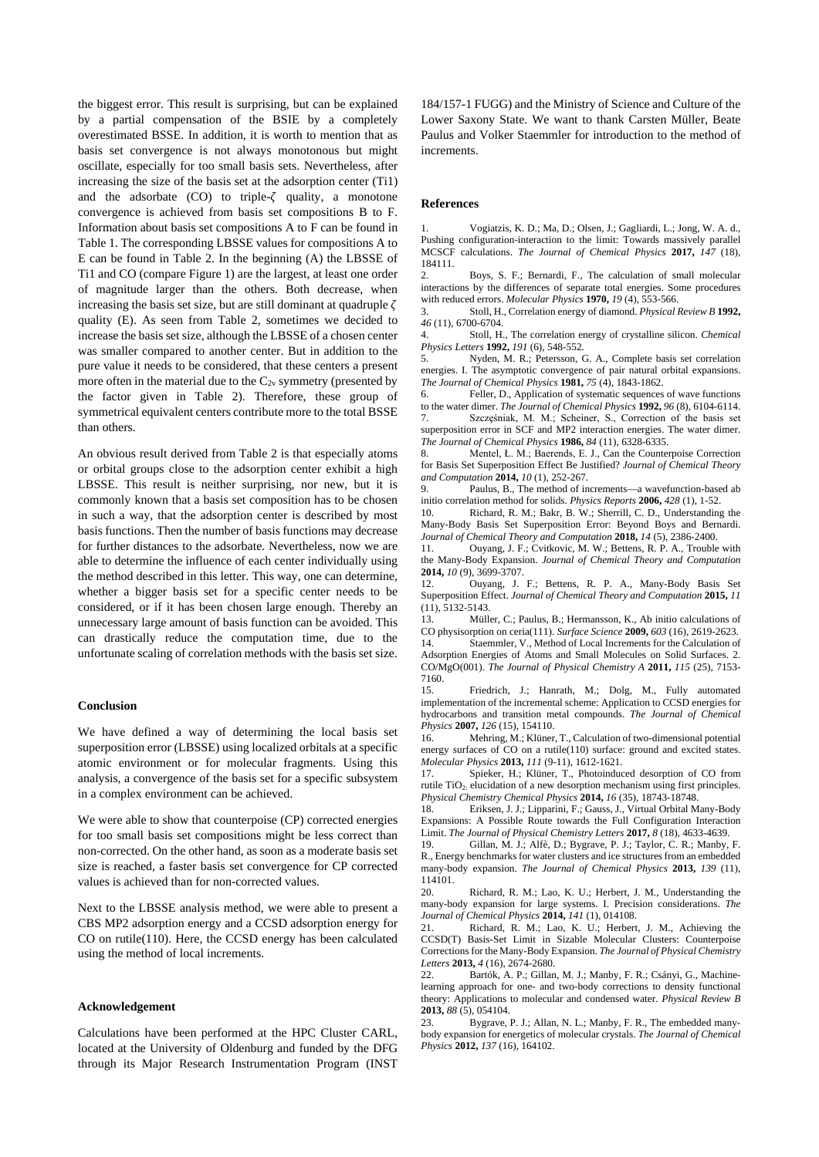the biggest error. This result is surprising, but can be explained by a partial compensation of the BSIE by a completely overestimated BSSE. In addition, it is worth to mention that as basis set convergence is not always monotonous but might oscillate, especially for too small basis sets. Nevertheless, after increasing the size of the basis set at the adsorption center (Ti1) and the adsorbate  $(CO)$  to triple- $\zeta$  quality, a monotone convergence is achieved from basis set compositions B to F. Information about basis set compositions A to F can be found in Table 1. The corresponding LBSSE values for compositions A to E can be found in Table 2. In the beginning (A) the LBSSE of Ti1 and CO (compare Figure 1) are the largest, at least one order of magnitude larger than the others. Both decrease, when increasing the basis set size, but are still dominant at quadruple  $\zeta$ quality (E). As seen from Table 2, sometimes we decided to increase the basis set size, although the LBSSE of a chosen center was smaller compared to another center. But in addition to the pure value it needs to be considered, that these centers a present more often in the material due to the  $C_{2v}$  symmetry (presented by the factor given in Table 2). Therefore, these group of symmetrical equivalent centers contribute more to the total BSSE than others.

An obvious result derived from Table 2 is that especially atoms or orbital groups close to the adsorption center exhibit a high LBSSE. This result is neither surprising, nor new, but it is commonly known that a basis set composition has to be chosen in such a way, that the adsorption center is described by most basis functions. Then the number of basis functions may decrease for further distances to the adsorbate. Nevertheless, now we are able to determine the influence of each center individually using the method described in this letter. This way, one can determine, whether a bigger basis set for a specific center needs to be considered, or if it has been chosen large enough. Thereby an unnecessary large amount of basis function can be avoided. This can drastically reduce the computation time, due to the unfortunate scaling of correlation methods with the basis set size.

#### **Conclusion**

We have defined a way of determining the local basis set superposition error (LBSSE) using localized orbitals at a specific atomic environment or for molecular fragments. Using this analysis, a convergence of the basis set for a specific subsystem in a complex environment can be achieved.

We were able to show that counterpoise (CP) corrected energies for too small basis set compositions might be less correct than non-corrected. On the other hand, as soon as a moderate basis set size is reached, a faster basis set convergence for CP corrected values is achieved than for non-corrected values.

Next to the LBSSE analysis method, we were able to present a CBS MP2 adsorption energy and a CCSD adsorption energy for CO on rutile(110). Here, the CCSD energy has been calculated using the method of local increments.

#### **Acknowledgement**

Calculations have been performed at the HPC Cluster CARL, located at the University of Oldenburg and funded by the DFG through its Major Research Instrumentation Program (INST

184/157-1 FUGG) and the Ministry of Science and Culture of the Lower Saxony State. We want to thank Carsten Müller, Beate Paulus and Volker Staemmler for introduction to the method of increments.

#### **References**

1. Vogiatzis, K. D.; Ma, D.; Olsen, J.; Gagliardi, L.; Jong, W. A. d., Pushing configuration-interaction to the limit: Towards massively parallel MCSCF calculations. *The Journal of Chemical Physics* **2017,** *147* (18), 184111.

2. Boys, S. F.; Bernardi, F., The calculation of small molecular interactions by the differences of separate total energies. Some procedures with reduced errors. *Molecular Physics* **1970,** *19* (4), 553-566.

3. Stoll, H., Correlation energy of diamond. *Physical Review B* **1992,** *46* (11), 6700-6704.

4. Stoll, H., The correlation energy of crystalline silicon. *Chemical Physics Letters* **1992,** *191* (6), 548-552.

5. Nyden, M. R.; Petersson, G. A., Complete basis set correlation energies. I. The asymptotic convergence of pair natural orbital expansions. *The Journal of Chemical Physics* **1981,** *75* (4), 1843-1862.

6. Feller, D., Application of systematic sequences of wave functions to the water dimer. *The Journal of Chemical Physics* **1992,** *96* (8), 6104-6114. 7. Szczęśniak, M. M.; Scheiner, S., Correction of the basis set superposition error in SCF and MP2 interaction energies. The water dimer. *The Journal of Chemical Physics* **1986,** *84* (11), 6328-6335.

8. Mentel, Ł. M.; Baerends, E. J., Can the Counterpoise Correction for Basis Set Superposition Effect Be Justified? *Journal of Chemical Theory and Computation* **2014,** *10* (1), 252-267.<br>9. Paulus, B., The method of in

Paulus, B., The method of increments—a wavefunction-based ab initio correlation method for solids. *Physics Reports* **2006,** *428* (1), 1-52.

10. Richard, R. M.; Bakr, B. W.; Sherrill, C. D., Understanding the Many-Body Basis Set Superposition Error: Beyond Boys and Bernardi. *Journal of Chemical Theory and Computation* **2018,** *14* (5), 2386-2400.

11. Ouyang, J. F.; Cvitkovic, M. W.; Bettens, R. P. A., Trouble with the Many-Body Expansion. *Journal of Chemical Theory and Computation*  **2014,** *10* (9), 3699-3707.

12. Ouyang, J. F.; Bettens, R. P. A., Many-Body Basis Set Superposition Effect. *Journal of Chemical Theory and Computation* **2015,** *11* (11), 5132-5143.

13. Müller, C.; Paulus, B.; Hermansson, K., Ab initio calculations of CO physisorption on ceria(111). *Surface Science* **2009,** *603* (16), 2619-2623.

14. Staemmler, V., Method of Local Increments for the Calculation of Adsorption Energies of Atoms and Small Molecules on Solid Surfaces. 2. CO/MgO(001). *The Journal of Physical Chemistry A* **2011,** *115* (25), 7153- 7160.

15. Friedrich, J.; Hanrath, M.; Dolg, M., Fully automated implementation of the incremental scheme: Application to CCSD energies for hydrocarbons and transition metal compounds. *The Journal of Chemical Physics* **2007,** *126* (15), 154110.

16. Mehring, M.; Klüner, T., Calculation of two-dimensional potential energy surfaces of CO on a rutile(110) surface: ground and excited states. *Molecular Physics* **2013,** *111* (9-11), 1612-1621.

Spieker, H.; Klüner, T., Photoinduced desorption of CO from rutile TiO<sub>2</sub>: elucidation of a new desorption mechanism using first principles. *Physical Chemistry Chemical Physics* **2014,** *16* (35), 18743-18748.

18. Eriksen, J. J.; Lipparini, F.; Gauss, J., Virtual Orbital Many-Body Expansions: A Possible Route towards the Full Configuration Interaction Limit. *The Journal of Physical Chemistry Letters* **2017,** *8* (18), 4633-4639.

19. Gillan, M. J.; Alfè, D.; Bygrave, P. J.; Taylor, C. R.; Manby, F. R., Energy benchmarks for water clusters and ice structures from an embedded many-body expansion. *The Journal of Chemical Physics* **2013,** *139* (11), 114101.<br>20.

Richard, R. M.; Lao, K. U.; Herbert, J. M., Understanding the many-body expansion for large systems. I. Precision considerations. *The Journal of Chemical Physics* **2014,** *141* (1), 014108.

21. Richard, R. M.; Lao, K. U.; Herbert, J. M., Achieving the CCSD(T) Basis-Set Limit in Sizable Molecular Clusters: Counterpoise Corrections for the Many-Body Expansion. *The Journal of Physical Chemistry Letters* **2013,** *4* (16), 2674-2680.

22. Bartók, A. P.; Gillan, M. J.; Manby, F. R.; Csányi, G., Machinelearning approach for one- and two-body corrections to density functional theory: Applications to molecular and condensed water. *Physical Review B*  **2013,** *88* (5), 054104.

23. Bygrave, P. J.; Allan, N. L.; Manby, F. R., The embedded manybody expansion for energetics of molecular crystals. *The Journal of Chemical Physics* **2012,** *137* (16), 164102.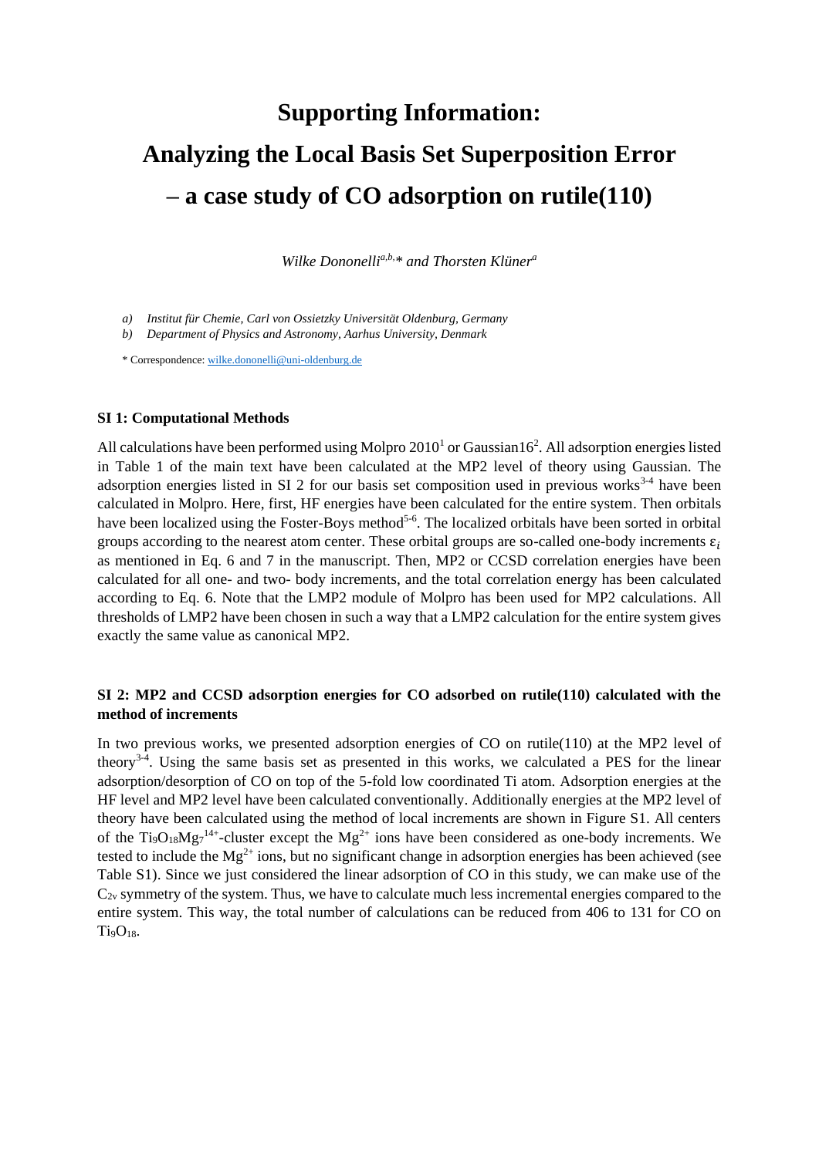# **Supporting Information: Analyzing the Local Basis Set Superposition Error – a case study of CO adsorption on rutile(110)**

*Wilke Dononellia,b,\* and Thorsten Klüner<sup>a</sup>*

- *a) Institut für Chemie, Carl von Ossietzky Universität Oldenburg, Germany*
- *b) Department of Physics and Astronomy, Aarhus University, Denmark*

\* Correspondence[: wilke.dononelli@uni-oldenburg.de](mailto:wilke.dononelli@uni-oldenburg.de)

## **SI 1: Computational Methods**

All calculations have been performed using Molpro  $2010<sup>1</sup>$  or Gaussian  $16<sup>2</sup>$ . All adsorption energies listed in Table 1 of the main text have been calculated at the MP2 level of theory using Gaussian. The adsorption energies listed in SI 2 for our basis set composition used in previous works<sup>3-4</sup> have been calculated in Molpro. Here, first, HF energies have been calculated for the entire system. Then orbitals have been localized using the Foster-Boys method<sup>5-6</sup>. The localized orbitals have been sorted in orbital groups according to the nearest atom center. These orbital groups are so-called one-body increments  $\varepsilon_i$ as mentioned in Eq. 6 and 7 in the manuscript. Then, MP2 or CCSD correlation energies have been calculated for all one- and two- body increments, and the total correlation energy has been calculated according to Eq. 6. Note that the LMP2 module of Molpro has been used for MP2 calculations. All thresholds of LMP2 have been chosen in such a way that a LMP2 calculation for the entire system gives exactly the same value as canonical MP2.

### **SI 2: MP2 and CCSD adsorption energies for CO adsorbed on rutile(110) calculated with the method of increments**

In two previous works, we presented adsorption energies of CO on rutile(110) at the MP2 level of theory<sup>3-4</sup>. Using the same basis set as presented in this works, we calculated a PES for the linear adsorption/desorption of CO on top of the 5-fold low coordinated Ti atom. Adsorption energies at the HF level and MP2 level have been calculated conventionally. Additionally energies at the MP2 level of theory have been calculated using the method of local increments are shown in Figure S1. All centers of the Ti<sub>9</sub>O<sub>18</sub>Mg<sub>7</sub><sup>14+</sup>-cluster except the Mg<sup>2+</sup> ions have been considered as one-body increments. We tested to include the  $Mg^{2+}$  ions, but no significant change in adsorption energies has been achieved (see Table S1). Since we just considered the linear adsorption of CO in this study, we can make use of the  $C_{2v}$  symmetry of the system. Thus, we have to calculate much less incremental energies compared to the entire system. This way, the total number of calculations can be reduced from 406 to 131 for CO on  $Ti<sub>9</sub>O<sub>18</sub>$ .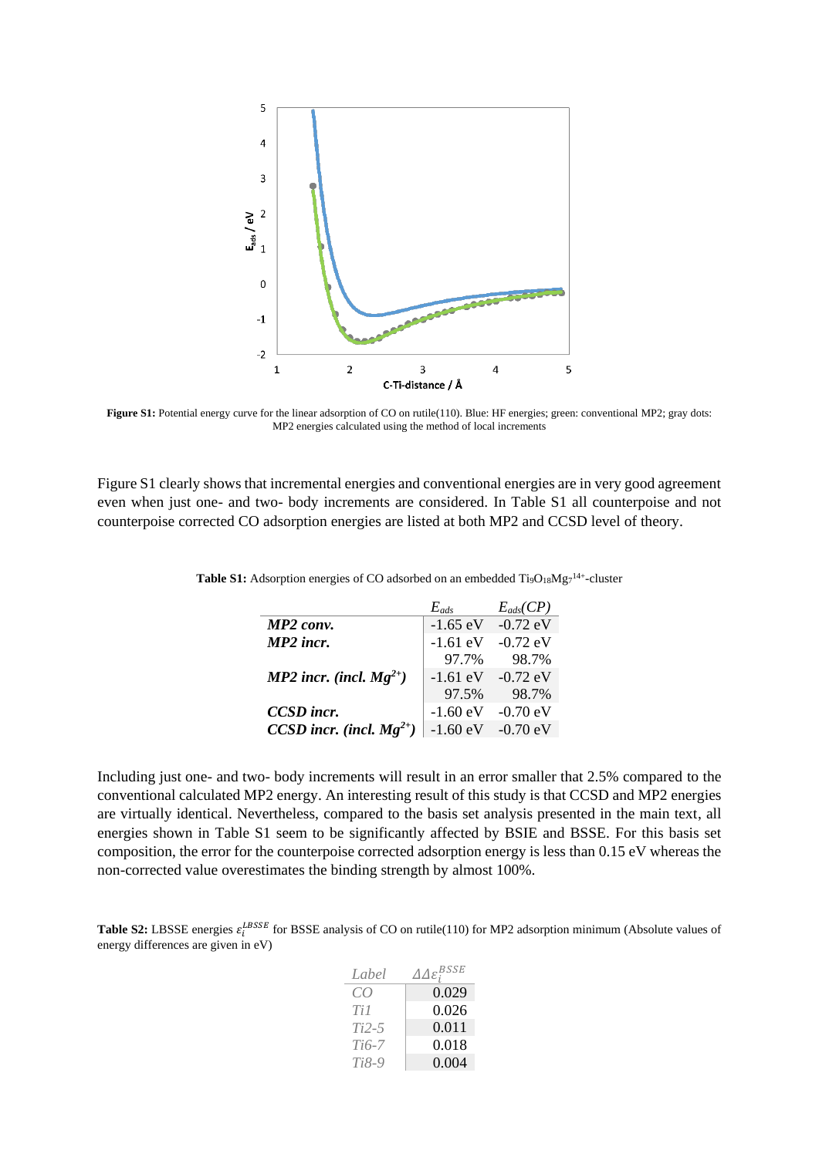

**Figure S1:** Potential energy curve for the linear adsorption of CO on rutile(110). Blue: HF energies; green: conventional MP2; gray dots: MP2 energies calculated using the method of local increments

Figure S1 clearly shows that incremental energies and conventional energies are in very good agreement even when just one- and two- body increments are considered. In Table S1 all counterpoise and not counterpoise corrected CO adsorption energies are listed at both MP2 and CCSD level of theory.

|                               | $E_{ads}$          | $E_{ads}(CP)$ |
|-------------------------------|--------------------|---------------|
| MP2 conv.                     | $-1.65$ eV         | $-0.72$ eV    |
| MP2 incr.                     | $-1.61$ eV         | $-0.72$ eV    |
|                               | 97.7%              | 98.7%         |
| MP2 incr. (incl. $Mg^{2+}$ )  | $-1.61$ eV         | $-0.72$ eV    |
|                               | 97.5%              | 98.7%         |
| CCSD incr.                    | $-1.60 \text{ eV}$ | $-0.70$ eV    |
| CCSD incr. (incl. $Mg^{2+}$ ) | $-1.60 \text{ eV}$ | $-0.70$ eV    |

Table S1: Adsorption energies of CO adsorbed on an embedded Ti<sub>9</sub>O<sub>18</sub>Mg<sub>7</sub><sup>14+</sup>-cluster

Including just one- and two- body increments will result in an error smaller that 2.5% compared to the conventional calculated MP2 energy. An interesting result of this study is that CCSD and MP2 energies are virtually identical. Nevertheless, compared to the basis set analysis presented in the main text, all energies shown in Table S1 seem to be significantly affected by BSIE and BSSE. For this basis set composition, the error for the counterpoise corrected adsorption energy is less than 0.15 eV whereas the non-corrected value overestimates the binding strength by almost 100%.

**Table S2:** LBSSE energies  $\varepsilon_i^{LBSSE}$  for BSSE analysis of CO on rutile(110) for MP2 adsorption minimum (Absolute values of energy differences are given in eV)

| Label   | $\varDelta\varDelta\varepsilon_{i}^{BSSE}$ |
|---------|--------------------------------------------|
| CO      | 0.029                                      |
| Ti 1    | 0.026                                      |
| Ti2-5   | 0.011                                      |
| Ti6-7   | 0.018                                      |
| $Ti8-9$ | 0.004                                      |